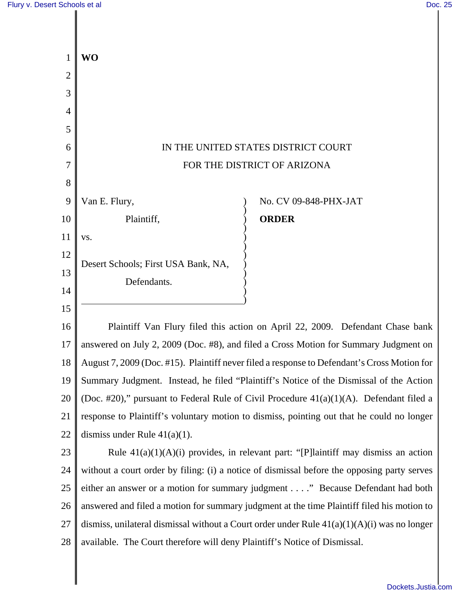